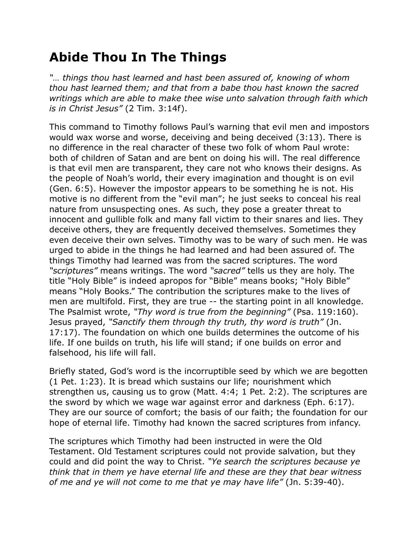## **Abide Thou In The Things**

*"… things thou hast learned and hast been assured of, knowing of whom thou hast learned them; and that from a babe thou hast known the sacred writings which are able to make thee wise unto salvation through faith which is in Christ Jesus"* (2 Tim. 3:14f).

This command to Timothy follows Paul's warning that evil men and impostors would wax worse and worse, deceiving and being deceived (3:13). There is no difference in the real character of these two folk of whom Paul wrote: both of children of Satan and are bent on doing his will. The real difference is that evil men are transparent, they care not who knows their designs. As the people of Noah's world, their every imagination and thought is on evil (Gen. 6:5). However the impostor appears to be something he is not. His motive is no different from the "evil man"; he just seeks to conceal his real nature from unsuspecting ones. As such, they pose a greater threat to innocent and gullible folk and many fall victim to their snares and lies. They deceive others, they are frequently deceived themselves. Sometimes they even deceive their own selves. Timothy was to be wary of such men. He was urged to abide in the things he had learned and had been assured of. The things Timothy had learned was from the sacred scriptures. The word *"scriptures"* means writings. The word *"sacred"* tells us they are holy. The title "Holy Bible" is indeed apropos for "Bible" means books; "Holy Bible" means "Holy Books." The contribution the scriptures make to the lives of men are multifold. First, they are true -- the starting point in all knowledge. The Psalmist wrote, *"Thy word is true from the beginning"* (Psa. 119:160). Jesus prayed, *"Sanctify them through thy truth, thy word is truth"* (Jn. 17:17). The foundation on which one builds determines the outcome of his life. If one builds on truth, his life will stand; if one builds on error and falsehood, his life will fall.

Briefly stated, God's word is the incorruptible seed by which we are begotten (1 Pet. 1:23). It is bread which sustains our life; nourishment which strengthen us, causing us to grow (Matt. 4:4; 1 Pet. 2:2). The scriptures are the sword by which we wage war against error and darkness (Eph. 6:17). They are our source of comfort; the basis of our faith; the foundation for our hope of eternal life. Timothy had known the sacred scriptures from infancy.

The scriptures which Timothy had been instructed in were the Old Testament. Old Testament scriptures could not provide salvation, but they could and did point the way to Christ. *"Ye search the scriptures because ye think that in them ye have eternal life and these are they that bear witness of me and ye will not come to me that ye may have life"* (Jn. 5:39-40).